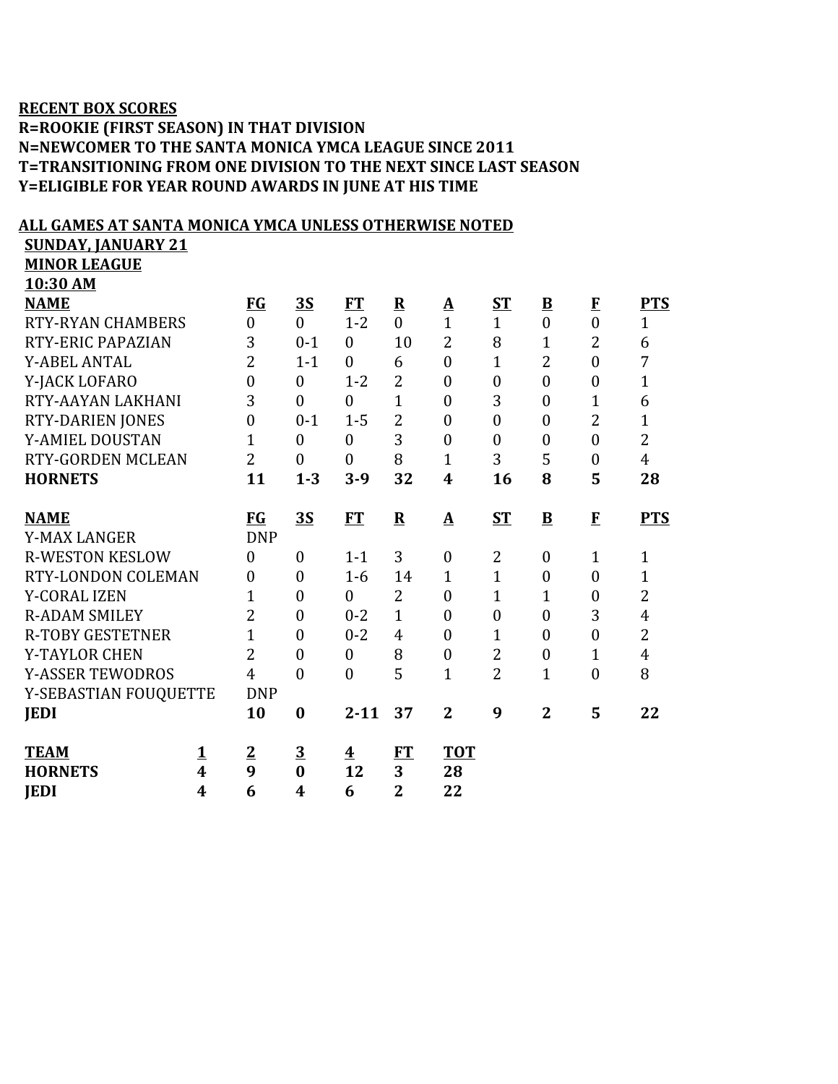## **RECENT BOX SCORES**

## **R=ROOKIE (FIRST SEASON) IN THAT DIVISION N=NEWCOMER TO THE SANTA MONICA YMCA LEAGUE SINCE 2011 T=TRANSITIONING FROM ONE DIVISION TO THE NEXT SINCE LAST SEASON Y=ELIGIBLE FOR YEAR ROUND AWARDS IN JUNE AT HIS TIME**

## **ENOTED**

| <u>ALL GAMES AT SANTA MONICA YMCA UNLESS OTHERWISE NOTED</u><br><b>SUNDAY, JANUARY 21</b> |                         |                  |                  |                  |                |                         |                  |                         |                  |                |
|-------------------------------------------------------------------------------------------|-------------------------|------------------|------------------|------------------|----------------|-------------------------|------------------|-------------------------|------------------|----------------|
| <b>MINOR LEAGUE</b>                                                                       |                         |                  |                  |                  |                |                         |                  |                         |                  |                |
| 10:30 AM                                                                                  |                         |                  |                  |                  |                |                         |                  |                         |                  |                |
| <b>NAME</b>                                                                               |                         | $FG$             | <u>35</u>        | FT               | ${\bf R}$      | <u>A</u>                | $S_{\rm T}$      | $\overline{\mathbf{B}}$ | $\bf{F}$         | <b>PTS</b>     |
| <b>RTY-RYAN CHAMBERS</b>                                                                  |                         | $\theta$         | $\overline{0}$   | $1 - 2$          | $\theta$       | $\mathbf{1}$            | $\mathbf{1}$     | $\overline{0}$          | $\overline{0}$   | $\mathbf{1}$   |
| RTY-ERIC PAPAZIAN                                                                         |                         | 3                | $0 - 1$          | $\overline{0}$   | 10             | $\overline{2}$          | 8                | $\mathbf{1}$            | $\overline{2}$   | 6              |
| <b>Y-ABEL ANTAL</b>                                                                       |                         | $\overline{2}$   | $1 - 1$          | $\overline{0}$   | 6              | $\overline{0}$          | $\overline{1}$   | $\overline{2}$          | $\overline{0}$   | $\overline{7}$ |
| Y-JACK LOFARO                                                                             |                         | $\overline{0}$   | $\overline{0}$   | $1 - 2$          | $\overline{2}$ | $\overline{0}$          | $\boldsymbol{0}$ | $\boldsymbol{0}$        | $\boldsymbol{0}$ | $\mathbf{1}$   |
| RTY-AAYAN LAKHANI                                                                         |                         | 3                | $\boldsymbol{0}$ | $\overline{0}$   | $\overline{1}$ | $\overline{0}$          | 3                | $\boldsymbol{0}$        | $\overline{1}$   | 6              |
| RTY-DARIEN JONES                                                                          |                         | $\overline{0}$   | $0 - 1$          | $1 - 5$          | $\overline{2}$ | $\overline{0}$          | $\overline{0}$   | $\overline{0}$          | $\overline{2}$   | $\mathbf{1}$   |
| <b>Y-AMIEL DOUSTAN</b>                                                                    |                         | 1                | $\theta$         | $\mathbf{0}$     | 3              | $\theta$                | $\mathbf{0}$     | $\mathbf{0}$            | $\overline{0}$   | $\overline{2}$ |
| RTY-GORDEN MCLEAN                                                                         |                         | $\overline{2}$   | $\boldsymbol{0}$ | $\overline{0}$   | 8              | $\mathbf{1}$            | 3                | 5                       | $\overline{0}$   | $\overline{4}$ |
| <b>HORNETS</b>                                                                            |                         | 11               | $1 - 3$          | $3-9$            | 32             | $\overline{\mathbf{4}}$ | 16               | 8                       | 5                | 28             |
|                                                                                           |                         |                  |                  |                  |                |                         |                  |                         |                  |                |
| <b>NAME</b>                                                                               |                         | <b>FG</b>        | <b>3S</b>        | <b>FT</b>        | $\mathbf R$    | A                       | $ST$             | $\mathbf{B}$            | $\mathbf{F}$     | <b>PTS</b>     |
| <b>Y-MAX LANGER</b>                                                                       |                         | <b>DNP</b>       |                  |                  |                |                         |                  |                         |                  |                |
| <b>R-WESTON KESLOW</b>                                                                    |                         | $\theta$         | $\boldsymbol{0}$ | $1 - 1$          | 3              | $\overline{0}$          | $\overline{2}$   | $\boldsymbol{0}$        | $\mathbf{1}$     | $\mathbf{1}$   |
| RTY-LONDON COLEMAN                                                                        |                         | $\boldsymbol{0}$ | $\boldsymbol{0}$ | $1-6$            | 14             | $\mathbf{1}$            | $\mathbf{1}$     | $\boldsymbol{0}$        | $\boldsymbol{0}$ | $\mathbf{1}$   |
| <b>Y-CORAL IZEN</b>                                                                       |                         | $\mathbf{1}$     | $\boldsymbol{0}$ | $\mathbf{0}$     | $\overline{2}$ | $\theta$                | $\mathbf{1}$     | $\mathbf{1}$            | $\boldsymbol{0}$ | $\overline{2}$ |
| <b>R-ADAM SMILEY</b>                                                                      |                         | $\overline{2}$   | $\overline{0}$   | $0 - 2$          | $\mathbf{1}$   | $\theta$                | $\boldsymbol{0}$ | $\mathbf{0}$            | 3                | $\overline{4}$ |
| <b>R-TOBY GESTETNER</b>                                                                   |                         | $\mathbf{1}$     | $\boldsymbol{0}$ | $0 - 2$          | 4              | $\overline{0}$          | $\mathbf{1}$     | $\boldsymbol{0}$        | $\boldsymbol{0}$ | $\overline{2}$ |
| Y-TAYLOR CHEN                                                                             |                         | $\overline{2}$   | $\overline{0}$   | $\boldsymbol{0}$ | 8              | $\overline{0}$          | $\overline{2}$   | $\boldsymbol{0}$        | $\mathbf{1}$     | $\overline{4}$ |
| <b>Y-ASSER TEWODROS</b>                                                                   |                         | $\overline{4}$   | $\overline{0}$   | $\overline{0}$   | 5              | $\mathbf{1}$            | $\overline{2}$   | $\mathbf{1}$            | $\overline{0}$   | 8              |
| Y-SEBASTIAN FOUQUETTE                                                                     |                         | <b>DNP</b>       |                  |                  |                |                         |                  |                         |                  |                |
| <b>JEDI</b>                                                                               |                         | 10               | $\bf{0}$         | $2 - 11$         | 37             | $\overline{2}$          | 9                | $\overline{2}$          | 5                | 22             |
| <b>TEAM</b>                                                                               | $\overline{\mathbf{1}}$ | $\mathbf{2}$     | 3                | 4                | <b>FT</b>      | <b>TOT</b>              |                  |                         |                  |                |

**HORNETS 4 9 0 12 3 28 JEDI 4 6 4 6 2 22**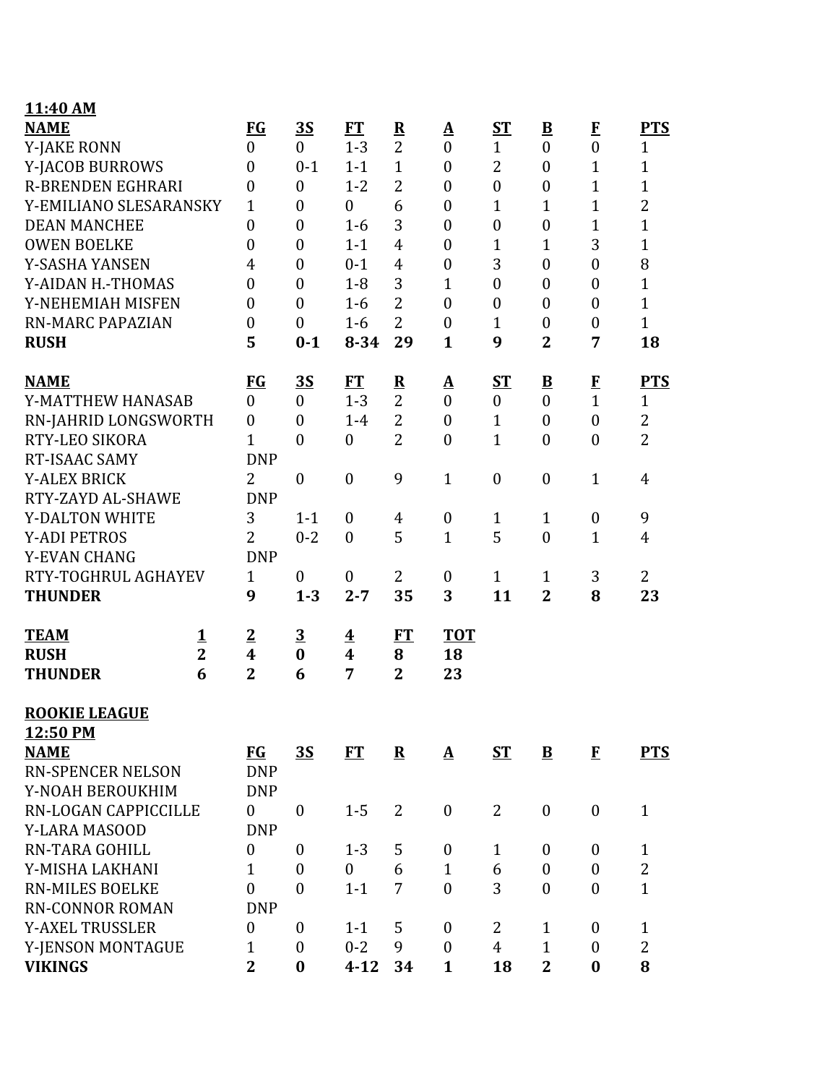| 11:40 AM                    |                |                         |                  |                         |                         |                   |                  |                          |                  |                |
|-----------------------------|----------------|-------------------------|------------------|-------------------------|-------------------------|-------------------|------------------|--------------------------|------------------|----------------|
| <b>NAME</b>                 |                | FG                      | <b>3S</b>        | <b>FT</b>               | $\overline{\mathbf{R}}$ | $\mathbf A$       | <b>ST</b>        | $\overline{\mathbf{B}}$  | $\mathbf{F}$     | <b>PTS</b>     |
| <b>Y-JAKE RONN</b>          |                | $\boldsymbol{0}$        | $\boldsymbol{0}$ | $1 - 3$                 | $\overline{2}$          | $\mathbf{0}$      | $\mathbf{1}$     | $\boldsymbol{0}$         | $\boldsymbol{0}$ | $\mathbf{1}$   |
| Y-JACOB BURROWS             |                | $\boldsymbol{0}$        | $0 - 1$          | $1 - 1$                 | $\mathbf{1}$            | $\boldsymbol{0}$  | 2                | $\boldsymbol{0}$         | $\mathbf{1}$     | $\mathbf{1}$   |
| <b>R-BRENDEN EGHRARI</b>    |                | $\boldsymbol{0}$        | $\boldsymbol{0}$ | $1 - 2$                 | $\overline{2}$          | $\boldsymbol{0}$  | $\boldsymbol{0}$ | $\boldsymbol{0}$         | $\mathbf{1}$     | $\mathbf{1}$   |
| Y-EMILIANO SLESARANSKY      |                | $\mathbf{1}$            | $\overline{0}$   | $\mathbf{0}$            | 6                       | $\boldsymbol{0}$  | $\mathbf{1}$     | $\mathbf{1}$             | $\mathbf{1}$     | $\overline{2}$ |
| <b>DEAN MANCHEE</b>         |                | $\boldsymbol{0}$        | $\overline{0}$   | $1-6$                   | 3                       | $\boldsymbol{0}$  | $\boldsymbol{0}$ | $\boldsymbol{0}$         | $\mathbf{1}$     | $\mathbf{1}$   |
| <b>OWEN BOELKE</b>          |                | $\overline{0}$          | $\boldsymbol{0}$ | $1 - 1$                 | $\overline{4}$          | $\mathbf{0}$      | 1                | $\mathbf{1}$             | 3                | $\mathbf{1}$   |
| Y-SASHA YANSEN              |                | 4                       | $\boldsymbol{0}$ | $0 - 1$                 | $\overline{4}$          | $\boldsymbol{0}$  | 3                | $\boldsymbol{0}$         | $\boldsymbol{0}$ | 8              |
| Y-AIDAN H.-THOMAS           |                | $\overline{0}$          | $\overline{0}$   | $1 - 8$                 | 3                       | $\mathbf{1}$      | $\boldsymbol{0}$ | $\boldsymbol{0}$         | $\overline{0}$   | $\mathbf{1}$   |
| Y-NEHEMIAH MISFEN           |                | $\overline{0}$          | $\overline{0}$   | $1-6$                   | $\overline{2}$          | $\boldsymbol{0}$  | $\boldsymbol{0}$ | $\boldsymbol{0}$         | $\boldsymbol{0}$ | $\overline{1}$ |
| <b>RN-MARC PAPAZIAN</b>     |                | $\boldsymbol{0}$        | $\boldsymbol{0}$ | $1-6$                   | $\overline{2}$          | $\boldsymbol{0}$  | $\mathbf{1}$     | $\boldsymbol{0}$         | $\boldsymbol{0}$ | $\mathbf{1}$   |
| <b>RUSH</b>                 |                | 5                       | $0 - 1$          | $8 - 34$                | 29                      | $\mathbf{1}$      | 9                | $\overline{2}$           | 7                | 18             |
| <b>NAME</b>                 |                | $FG$                    | <u>3S</u>        | FT                      | $\overline{\mathbf{R}}$ | <u>A</u>          | $S_{\rm T}$      | $\underline{\mathbf{B}}$ | $\bf{F}$         | <b>PTS</b>     |
| Y-MATTHEW HANASAB           |                | $\boldsymbol{0}$        | $\boldsymbol{0}$ | $1 - 3$                 | $\overline{2}$          | $\boldsymbol{0}$  | $\boldsymbol{0}$ | $\overline{0}$           | $\mathbf{1}$     | 1              |
| RN-JAHRID LONGSWORTH        |                | $\boldsymbol{0}$        | $\boldsymbol{0}$ | $1-4$                   | $\overline{2}$          | $\boldsymbol{0}$  | $\mathbf{1}$     | $\boldsymbol{0}$         | $\boldsymbol{0}$ | $\overline{2}$ |
| RTY-LEO SIKORA              |                | $\overline{1}$          | $\overline{0}$   | $\boldsymbol{0}$        | $\overline{2}$          | $\mathbf{0}$      | $\mathbf{1}$     | $\boldsymbol{0}$         | $\overline{0}$   | $\overline{2}$ |
| RT-ISAAC SAMY               |                | <b>DNP</b>              |                  |                         |                         |                   |                  |                          |                  |                |
| <b>Y-ALEX BRICK</b>         |                | $\overline{2}$          | $\boldsymbol{0}$ | $\boldsymbol{0}$        | 9                       | $\mathbf{1}$      | $\boldsymbol{0}$ | $\boldsymbol{0}$         | $\mathbf{1}$     | $\overline{4}$ |
| RTY-ZAYD AL-SHAWE           |                | <b>DNP</b>              |                  |                         |                         |                   |                  |                          |                  |                |
| <b>Y-DALTON WHITE</b>       |                | 3                       | $1 - 1$          | $\mathbf{0}$            | $\overline{4}$          | $\boldsymbol{0}$  | $\mathbf{1}$     | $\mathbf{1}$             | $\boldsymbol{0}$ | 9              |
| <b>Y-ADI PETROS</b>         |                | $\overline{2}$          | $0 - 2$          | $\mathbf{0}$            | 5                       | $\mathbf{1}$      | 5                | $\boldsymbol{0}$         | $\mathbf{1}$     | $\overline{4}$ |
| Y-EVAN CHANG                |                | <b>DNP</b>              |                  |                         |                         |                   |                  |                          |                  |                |
| RTY-TOGHRUL AGHAYEV         |                | $\mathbf{1}$            | $\boldsymbol{0}$ | $\boldsymbol{0}$        | $\overline{2}$          | $\boldsymbol{0}$  | $\mathbf{1}$     | $\mathbf{1}$             | 3                | $\overline{2}$ |
| <b>THUNDER</b>              |                | 9                       | $1 - 3$          | $2 - 7$                 | 35                      | 3                 | 11               | $\overline{2}$           | 8                | 23             |
| <b>TEAM</b>                 | $\mathbf 1$    | $\overline{2}$          | $\overline{3}$   | $\overline{\mathbf{4}}$ | FT                      | <b>TOT</b>        |                  |                          |                  |                |
| <b>RUSH</b>                 | $\overline{2}$ | $\overline{\mathbf{4}}$ | $\bf{0}$         | $\overline{\mathbf{4}}$ | 8                       | 18                |                  |                          |                  |                |
| <b>THUNDER</b>              | 6              | $\overline{2}$          | 6                | 7                       | $\overline{2}$          | 23                |                  |                          |                  |                |
| <b>ROOKIE LEAGUE</b>        |                |                         |                  |                         |                         |                   |                  |                          |                  |                |
| 12:50 PM                    |                |                         |                  |                         |                         |                   |                  |                          |                  |                |
| <b>NAME</b>                 |                | <b>FG</b>               | <b>3S</b>        | FT                      | ${\bf R}$               | $\mathbf{\Delta}$ | <b>ST</b>        | $\mathbf{B}$             | $\bf{F}$         | <b>PTS</b>     |
| <b>RN-SPENCER NELSON</b>    |                | <b>DNP</b>              |                  |                         |                         |                   |                  |                          |                  |                |
| Y-NOAH BEROUKHIM            |                | <b>DNP</b>              |                  |                         |                         |                   |                  |                          |                  |                |
| <b>RN-LOGAN CAPPICCILLE</b> |                | $\boldsymbol{0}$        | $\boldsymbol{0}$ | $1 - 5$                 | $\overline{2}$          | $\boldsymbol{0}$  | 2                | $\boldsymbol{0}$         | $\boldsymbol{0}$ | $\mathbf{1}$   |
| Y-LARA MASOOD               |                | <b>DNP</b>              |                  |                         |                         |                   |                  |                          |                  |                |
| RN-TARA GOHILL              |                | $\boldsymbol{0}$        | $\boldsymbol{0}$ | $1 - 3$                 | 5                       | $\boldsymbol{0}$  | $\mathbf{1}$     | $\boldsymbol{0}$         | $\boldsymbol{0}$ | $\mathbf{1}$   |
| Y-MISHA LAKHANI             |                | $\mathbf{1}$            | $\boldsymbol{0}$ | $\boldsymbol{0}$        | 6                       | $\mathbf{1}$      | 6                | $\boldsymbol{0}$         | $\boldsymbol{0}$ | $\overline{2}$ |
| <b>RN-MILES BOELKE</b>      |                | $\overline{0}$          | $\overline{0}$   | $1 - 1$                 | 7                       | $\mathbf{0}$      | 3                | $\boldsymbol{0}$         | $\overline{0}$   | $\mathbf{1}$   |
| <b>RN-CONNOR ROMAN</b>      |                | <b>DNP</b>              |                  |                         |                         |                   |                  |                          |                  |                |
| <b>Y-AXEL TRUSSLER</b>      |                | $\boldsymbol{0}$        | 0                | $1 - 1$                 | 5                       | $\boldsymbol{0}$  | 2                | $\mathbf{1}$             | $\boldsymbol{0}$ | $\mathbf{1}$   |
| Y-JENSON MONTAGUE           |                | $\mathbf{1}$            | $\boldsymbol{0}$ | $0 - 2$                 | 9                       | $\mathbf{0}$      | $\overline{4}$   | $\mathbf{1}$             | $\boldsymbol{0}$ | $\overline{2}$ |
| <b>VIKINGS</b>              |                | $\overline{2}$          | $\bf{0}$         | $4 - 12$                | 34                      | $\mathbf{1}$      | 18               | $\overline{2}$           | $\bf{0}$         | 8              |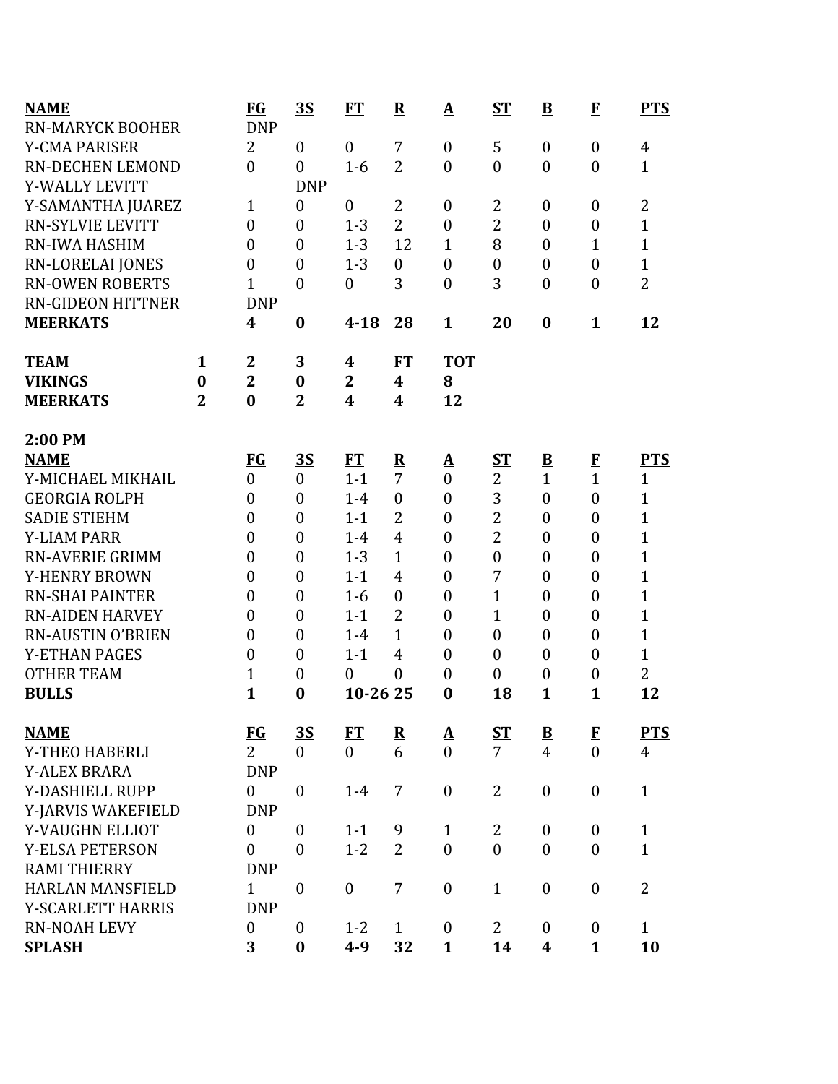| <b>NAME</b>              |                | $FG$             | <u>35</u>        | FT                      | $\overline{\mathbf{R}}$ | $\mathbf{\Delta}$        | $S_{\rm T}$      | $\underline{\mathbf{B}}$ | $\mathbf{F}$     | <b>PTS</b>     |
|--------------------------|----------------|------------------|------------------|-------------------------|-------------------------|--------------------------|------------------|--------------------------|------------------|----------------|
| <b>RN-MARYCK BOOHER</b>  |                | <b>DNP</b>       |                  |                         |                         |                          |                  |                          |                  |                |
| <b>Y-CMA PARISER</b>     |                | $\overline{2}$   | $\overline{0}$   | $\boldsymbol{0}$        | 7                       | $\boldsymbol{0}$         | 5                | $\boldsymbol{0}$         | $\mathbf{0}$     | $\overline{4}$ |
| <b>RN-DECHEN LEMOND</b>  |                | $\boldsymbol{0}$ | $\overline{0}$   | $1-6$                   | $\overline{2}$          | $\overline{0}$           | $\boldsymbol{0}$ | $\boldsymbol{0}$         | $\overline{0}$   | $\mathbf{1}$   |
| Y-WALLY LEVITT           |                |                  | <b>DNP</b>       |                         |                         |                          |                  |                          |                  |                |
| Y-SAMANTHA JUAREZ        |                | 1                | $\boldsymbol{0}$ | $\mathbf{0}$            | 2                       | $\boldsymbol{0}$         | $\overline{2}$   | $\boldsymbol{0}$         | $\overline{0}$   | $\overline{2}$ |
| <b>RN-SYLVIE LEVITT</b>  |                | $\boldsymbol{0}$ | $\boldsymbol{0}$ | $1 - 3$                 | $\overline{2}$          | $\boldsymbol{0}$         | $\overline{c}$   | $\boldsymbol{0}$         | $\boldsymbol{0}$ | $\mathbf 1$    |
| RN-IWA HASHIM            |                | $\boldsymbol{0}$ | $\overline{0}$   | $1 - 3$                 | 12                      | $\mathbf{1}$             | 8                | $\boldsymbol{0}$         | $\mathbf{1}$     | $\overline{1}$ |
| <b>RN-LORELAI JONES</b>  |                | $\boldsymbol{0}$ | $\mathbf{0}$     | $1 - 3$                 | $\mathbf{0}$            | $\boldsymbol{0}$         | $\boldsymbol{0}$ | $\boldsymbol{0}$         | $\overline{0}$   | $\overline{1}$ |
| <b>RN-OWEN ROBERTS</b>   |                | $\overline{1}$   | $\boldsymbol{0}$ | $\boldsymbol{0}$        | 3                       | $\boldsymbol{0}$         | 3                | $\boldsymbol{0}$         | $\overline{0}$   | $\overline{2}$ |
| <b>RN-GIDEON HITTNER</b> |                | <b>DNP</b>       |                  |                         |                         |                          |                  |                          |                  |                |
| <b>MEERKATS</b>          |                | 4                | $\boldsymbol{0}$ | $4 - 18$                | 28                      | $\mathbf{1}$             | 20               | $\bf{0}$                 | $\mathbf{1}$     | 12             |
| <b>TEAM</b>              | <u>1</u>       | $\overline{2}$   | $\overline{3}$   | $\overline{\mathbf{4}}$ | FT                      | <b>TOT</b>               |                  |                          |                  |                |
| <b>VIKINGS</b>           | $\bf{0}$       | $\overline{2}$   | $\bf{0}$         | $\mathbf{2}$            | $\boldsymbol{4}$        | 8                        |                  |                          |                  |                |
| <b>MEERKATS</b>          | $\overline{2}$ | $\bf{0}$         | $\overline{2}$   | $\overline{\mathbf{4}}$ | 4                       | 12                       |                  |                          |                  |                |
| 2:00 PM                  |                |                  |                  |                         |                         |                          |                  |                          |                  |                |
| <b>NAME</b>              |                | <b>FG</b>        | <u>35</u>        | ET                      | $\overline{\mathbf{R}}$ | ${\underline{\bf A}}$    | S <sub>T</sub>   | $\underline{\mathbf{B}}$ | $\mathbf{F}$     | <b>PTS</b>     |
| Y-MICHAEL MIKHAIL        |                | $\overline{0}$   | $\overline{0}$   | $1 - 1$                 | 7                       | $\overline{0}$           | $\overline{2}$   | $\mathbf{1}$             | $\overline{1}$   | $\mathbf{1}$   |
| <b>GEORGIA ROLPH</b>     |                | $\boldsymbol{0}$ | $\overline{0}$   | $1-4$                   | $\mathbf{0}$            | $\boldsymbol{0}$         | 3                | $\boldsymbol{0}$         | $\overline{0}$   | $\overline{1}$ |
| <b>SADIE STIEHM</b>      |                | $\boldsymbol{0}$ | $\overline{0}$   | $1 - 1$                 | $\overline{2}$          | $\boldsymbol{0}$         | $\overline{2}$   | $\boldsymbol{0}$         | $\mathbf{0}$     | $\overline{1}$ |
| <b>Y-LIAM PARR</b>       |                | $\boldsymbol{0}$ | $\boldsymbol{0}$ | $1 - 4$                 | $\overline{4}$          | $\boldsymbol{0}$         | $\overline{2}$   | $\boldsymbol{0}$         | $\boldsymbol{0}$ | $\mathbf 1$    |
| <b>RN-AVERIE GRIMM</b>   |                | $\boldsymbol{0}$ | $\boldsymbol{0}$ | $1 - 3$                 | $\mathbf{1}$            | $\boldsymbol{0}$         | $\mathbf{0}$     | $\boldsymbol{0}$         | $\mathbf{0}$     | $\overline{1}$ |
| Y-HENRY BROWN            |                | $\boldsymbol{0}$ | $\mathbf{0}$     | $1 - 1$                 | $\overline{4}$          | $\boldsymbol{0}$         | 7                | $\boldsymbol{0}$         | $\mathbf{0}$     | $\overline{1}$ |
| <b>RN-SHAI PAINTER</b>   |                | $\boldsymbol{0}$ | $\boldsymbol{0}$ | $1-6$                   | $\boldsymbol{0}$        | $\boldsymbol{0}$         | $\mathbf{1}$     | $\boldsymbol{0}$         | $\overline{0}$   | $\overline{1}$ |
| <b>RN-AIDEN HARVEY</b>   |                | $\boldsymbol{0}$ | $\mathbf{0}$     | $1 - 1$                 | $\overline{2}$          | $\boldsymbol{0}$         | $\mathbf{1}$     | $\boldsymbol{0}$         | $\overline{0}$   | $\overline{1}$ |
| <b>RN-AUSTIN O'BRIEN</b> |                | $\boldsymbol{0}$ | $\boldsymbol{0}$ | $1 - 4$                 | $\mathbf{1}$            | $\boldsymbol{0}$         | $\boldsymbol{0}$ | $\boldsymbol{0}$         | $\overline{0}$   | $\overline{1}$ |
| <b>Y-ETHAN PAGES</b>     |                | $\boldsymbol{0}$ | $\boldsymbol{0}$ | $1 - 1$                 | $\overline{4}$          | $\boldsymbol{0}$         | $\boldsymbol{0}$ | $\boldsymbol{0}$         | $\overline{0}$   | $\overline{1}$ |
| <b>OTHER TEAM</b>        |                | $\mathbf 1$      | $\boldsymbol{0}$ | $\boldsymbol{0}$        | $\overline{0}$          | $\overline{0}$           | $\boldsymbol{0}$ | $\boldsymbol{0}$         | $\boldsymbol{0}$ | $\overline{2}$ |
| <b>BULLS</b>             |                | $\mathbf{1}$     | $\bf{0}$         | 10-26 25                |                         | $\bf{0}$                 | 18               | $\mathbf{1}$             | $\mathbf{1}$     | 12             |
| <b>NAME</b>              |                | $FG$             | <u>35</u>        | ET                      | $\overline{\mathbf{R}}$ | $\underline{\mathbf{A}}$ | <u>ST</u>        | $\overline{\mathbf{B}}$  | $\bf{F}$         | <b>PTS</b>     |
| Y-THEO HABERLI           |                | $\overline{2}$   | $\overline{0}$   | $\overline{0}$          | 6                       | $\theta$                 | $\overline{7}$   | $\overline{4}$           | $\theta$         | 4              |
| <b>Y-ALEX BRARA</b>      |                | <b>DNP</b>       |                  |                         |                         |                          |                  |                          |                  |                |
| Y-DASHIELL RUPP          |                | $\boldsymbol{0}$ | $\boldsymbol{0}$ | $1 - 4$                 | 7                       | $\boldsymbol{0}$         | $\overline{2}$   | $\boldsymbol{0}$         | $\boldsymbol{0}$ | $\mathbf{1}$   |
| Y-JARVIS WAKEFIELD       |                | <b>DNP</b>       |                  |                         |                         |                          |                  |                          |                  |                |
| Y-VAUGHN ELLIOT          |                | $\boldsymbol{0}$ | $\overline{0}$   | $1 - 1$                 | 9                       | $\mathbf{1}$             | $\overline{2}$   | $\boldsymbol{0}$         | $\mathbf{0}$     | $\mathbf{1}$   |
| <b>Y-ELSA PETERSON</b>   |                | $\overline{0}$   | $\mathbf{0}$     | $1 - 2$                 | $\overline{2}$          | $\overline{0}$           | $\overline{0}$   | $\overline{0}$           | $\overline{0}$   | $\mathbf{1}$   |
| <b>RAMI THIERRY</b>      |                | <b>DNP</b>       |                  |                         |                         |                          |                  |                          |                  |                |
| <b>HARLAN MANSFIELD</b>  |                | $\mathbf{1}$     | $\mathbf{0}$     | $\mathbf{0}$            | 7                       | $\boldsymbol{0}$         | $\mathbf{1}$     | $\boldsymbol{0}$         | $\overline{0}$   | $\overline{2}$ |
| Y-SCARLETT HARRIS        |                | <b>DNP</b>       |                  |                         |                         |                          |                  |                          |                  |                |
| <b>RN-NOAH LEVY</b>      |                | $\boldsymbol{0}$ | $\mathbf{0}$     | $1 - 2$                 | $\mathbf{1}$            | $\boldsymbol{0}$         | $\overline{2}$   | $\boldsymbol{0}$         | $\mathbf{0}$     | $\mathbf{1}$   |
| <b>SPLASH</b>            |                | 3                | $\bf{0}$         | $4 - 9$                 | 32                      | $\mathbf{1}$             | 14               | 4                        | $\mathbf{1}$     | 10             |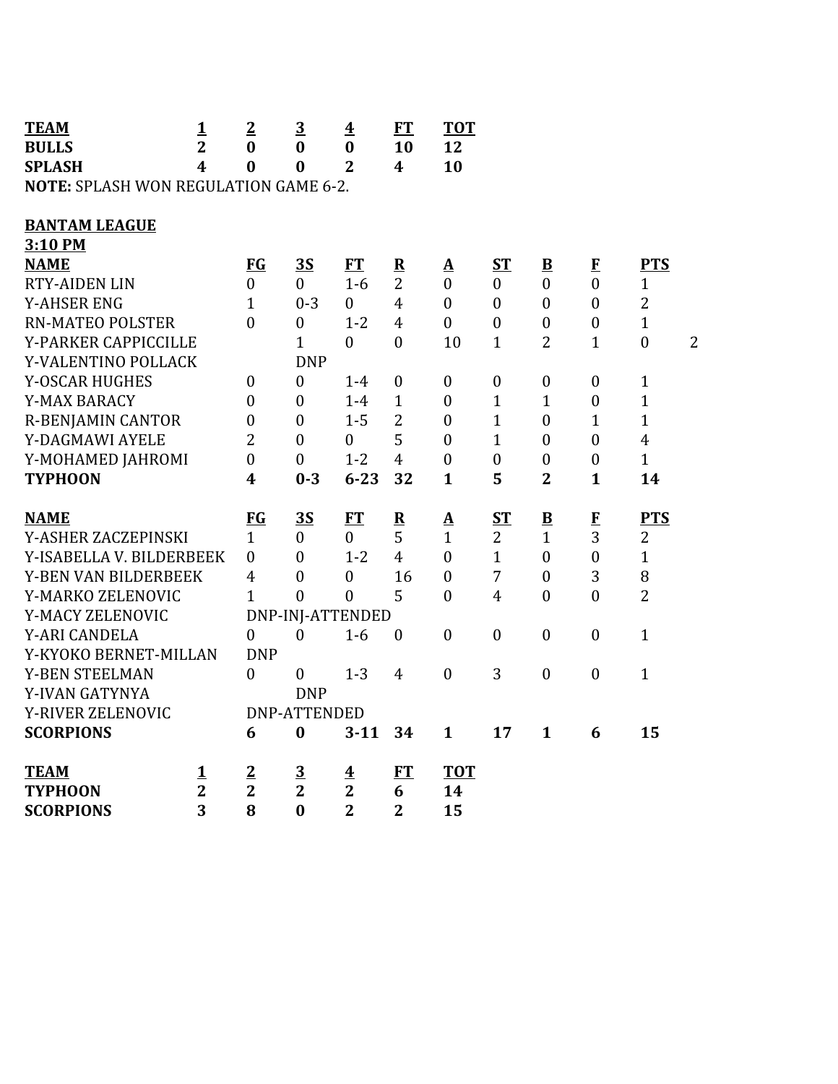| <b>TEAM</b><br><b>BULLS</b>                  | $\mathbf{1}$<br>$\overline{2}$ | $\overline{2}$<br>$\bf{0}$ | $\overline{3}$<br>$\bf{0}$ | $\overline{\mathbf{4}}$<br>$\bf{0}$ | ET<br>10         | <b>TOT</b><br>12  |                  |                         |                  |                                    |
|----------------------------------------------|--------------------------------|----------------------------|----------------------------|-------------------------------------|------------------|-------------------|------------------|-------------------------|------------------|------------------------------------|
| <b>SPLASH</b>                                | 4                              | $\bf{0}$                   | $\bf{0}$                   | $\overline{2}$                      | $\boldsymbol{4}$ | 10                |                  |                         |                  |                                    |
| <b>NOTE: SPLASH WON REGULATION GAME 6-2.</b> |                                |                            |                            |                                     |                  |                   |                  |                         |                  |                                    |
|                                              |                                |                            |                            |                                     |                  |                   |                  |                         |                  |                                    |
| <b>BANTAM LEAGUE</b>                         |                                |                            |                            |                                     |                  |                   |                  |                         |                  |                                    |
| 3:10 PM                                      |                                |                            |                            |                                     |                  |                   |                  |                         |                  |                                    |
| <b>NAME</b>                                  |                                | $FG$                       | 3S                         | FT                                  | ${\bf R}$        | $\mathbf{\Delta}$ | $S_{\rm T}$      | $\mathbf{B}$            | $\bf{F}$         | <b>PTS</b>                         |
| <b>RTY-AIDEN LIN</b>                         |                                | $\overline{0}$             | $\overline{0}$             | $1-6$                               | $\overline{2}$   | $\boldsymbol{0}$  | $\boldsymbol{0}$ | $\boldsymbol{0}$        | $\mathbf{0}$     | $\mathbf{1}$                       |
| <b>Y-AHSER ENG</b>                           |                                | $\mathbf{1}$               | $0 - 3$                    | $\boldsymbol{0}$                    | $\overline{4}$   | $\boldsymbol{0}$  | $\boldsymbol{0}$ | $\boldsymbol{0}$        | $\boldsymbol{0}$ | $\overline{2}$                     |
| <b>RN-MATEO POLSTER</b>                      |                                | $\overline{0}$             | $\boldsymbol{0}$           | $1 - 2$                             | $\overline{4}$   | $\boldsymbol{0}$  | $\boldsymbol{0}$ | $\boldsymbol{0}$        | $\boldsymbol{0}$ | $\mathbf{1}$                       |
| Y-PARKER CAPPICCILLE                         |                                |                            | $\mathbf{1}$               | $\boldsymbol{0}$                    | $\mathbf{0}$     | 10                | $\mathbf{1}$     | $\overline{2}$          | $\mathbf{1}$     | $\boldsymbol{0}$<br>$\overline{2}$ |
| Y-VALENTINO POLLACK                          |                                |                            | <b>DNP</b>                 |                                     |                  |                   |                  |                         |                  |                                    |
| Y-OSCAR HUGHES                               |                                | $\mathbf{0}$               | $\boldsymbol{0}$           | $1-4$                               | $\mathbf{0}$     | $\boldsymbol{0}$  | $\boldsymbol{0}$ | $\mathbf{0}$            | $\boldsymbol{0}$ | $\mathbf{1}$                       |
| Y-MAX BARACY                                 |                                | $\mathbf{0}$               | $\overline{0}$             | $1-4$                               | $\mathbf{1}$     | $\boldsymbol{0}$  | $\mathbf{1}$     | $\mathbf{1}$            | $\mathbf{0}$     | $\mathbf{1}$                       |
| <b>R-BENJAMIN CANTOR</b>                     |                                | $\boldsymbol{0}$           | $\overline{0}$             | $1 - 5$                             | $\overline{2}$   | $\mathbf{0}$      | $\mathbf{1}$     | $\mathbf{0}$            | $\mathbf{1}$     | $\mathbf{1}$                       |
| Y-DAGMAWI AYELE                              |                                | $\overline{2}$             | $\boldsymbol{0}$           | $\boldsymbol{0}$                    | 5                | $\boldsymbol{0}$  | $\mathbf{1}$     | $\boldsymbol{0}$        | $\boldsymbol{0}$ | $\overline{4}$                     |
| Y-MOHAMED JAHROMI                            |                                | $\theta$                   | $\boldsymbol{0}$           | $1 - 2$                             | $\overline{4}$   | $\boldsymbol{0}$  | $\boldsymbol{0}$ | $\mathbf{0}$            | $\mathbf{0}$     | $\mathbf{1}$                       |
| <b>TYPHOON</b>                               |                                | 4                          | $0 - 3$                    | $6 - 23$                            | 32               | $\mathbf{1}$      | 5                | $\overline{2}$          | $\mathbf{1}$     | 14                                 |
|                                              |                                |                            |                            |                                     |                  |                   |                  |                         |                  |                                    |
| <b>NAME</b>                                  |                                | $FG$                       | 3S                         | ET                                  | ${\bf R}$        | <u>A</u>          | $S_{\rm T}$      | $\overline{\mathbf{B}}$ | $\bf{F}$         | <b>PTS</b>                         |
| Y-ASHER ZACZEPINSKI                          |                                | $\mathbf{1}$               | $\mathbf{0}$               | $\overline{0}$                      | 5                | $\mathbf{1}$      | $\overline{2}$   | $\mathbf{1}$            | 3                | $\overline{2}$                     |
| Y-ISABELLA V. BILDERBEEK                     |                                | $\boldsymbol{0}$           | $\boldsymbol{0}$           | $1 - 2$                             | $\overline{4}$   | $\boldsymbol{0}$  | $\mathbf{1}$     | $\boldsymbol{0}$        | $\boldsymbol{0}$ | $\mathbf{1}$                       |
| <b>Y-BEN VAN BILDERBEEK</b>                  |                                | $\overline{4}$             | $\overline{0}$             | $\overline{0}$                      | 16               | $\overline{0}$    | 7                | $\overline{0}$          | 3                | 8                                  |
| Y-MARKO ZELENOVIC                            |                                | $\mathbf{1}$               | $\theta$                   | $\overline{0}$                      | 5                | $\theta$          | $\overline{4}$   | $\boldsymbol{0}$        | $\mathbf{0}$     | $\overline{2}$                     |
| Y-MACY ZELENOVIC                             |                                |                            | DNP-INJ-ATTENDED           |                                     |                  |                   |                  |                         |                  |                                    |
| Y-ARI CANDELA                                |                                | $\overline{0}$             | $\theta$                   | $1-6$                               | $\mathbf{0}$     | $\overline{0}$    | $\overline{0}$   | $\theta$                | $\mathbf{0}$     | $\mathbf{1}$                       |
| Y-KYOKO BERNET-MILLAN                        |                                | <b>DNP</b>                 |                            |                                     |                  |                   |                  |                         |                  |                                    |
| Y-BEN STEELMAN                               |                                | $\mathbf{0}$               | $\overline{0}$             | $1 - 3$                             | $\overline{4}$   | $\boldsymbol{0}$  | 3                | $\boldsymbol{0}$        | $\boldsymbol{0}$ | $\mathbf{1}$                       |
| Y-IVAN GATYNYA                               |                                |                            | <b>DNP</b>                 |                                     |                  |                   |                  |                         |                  |                                    |
| Y-RIVER ZELENOVIC                            |                                |                            | <b>DNP-ATTENDED</b>        |                                     |                  |                   |                  |                         |                  |                                    |
| <b>SCORPIONS</b>                             |                                | 6                          | $\bf{0}$                   | $3 - 11$                            | 34               | $\mathbf{1}$      | 17               | $\mathbf{1}$            | 6                | 15                                 |
| <b>TEAM</b>                                  | $\mathbf 1$                    | $\overline{2}$             | $\overline{3}$             | $\overline{\textbf{4}}$             | <b>FT</b>        | <b>TOT</b>        |                  |                         |                  |                                    |
| <b>TYPHOON</b>                               | $\overline{2}$                 | $\overline{2}$             | $\overline{2}$             | $\mathbf{2}$                        | 6                | 14                |                  |                         |                  |                                    |
| <b>SCORPIONS</b>                             | 3                              | 8                          | $\bf{0}$                   | $\overline{2}$                      | $\overline{2}$   | 15                |                  |                         |                  |                                    |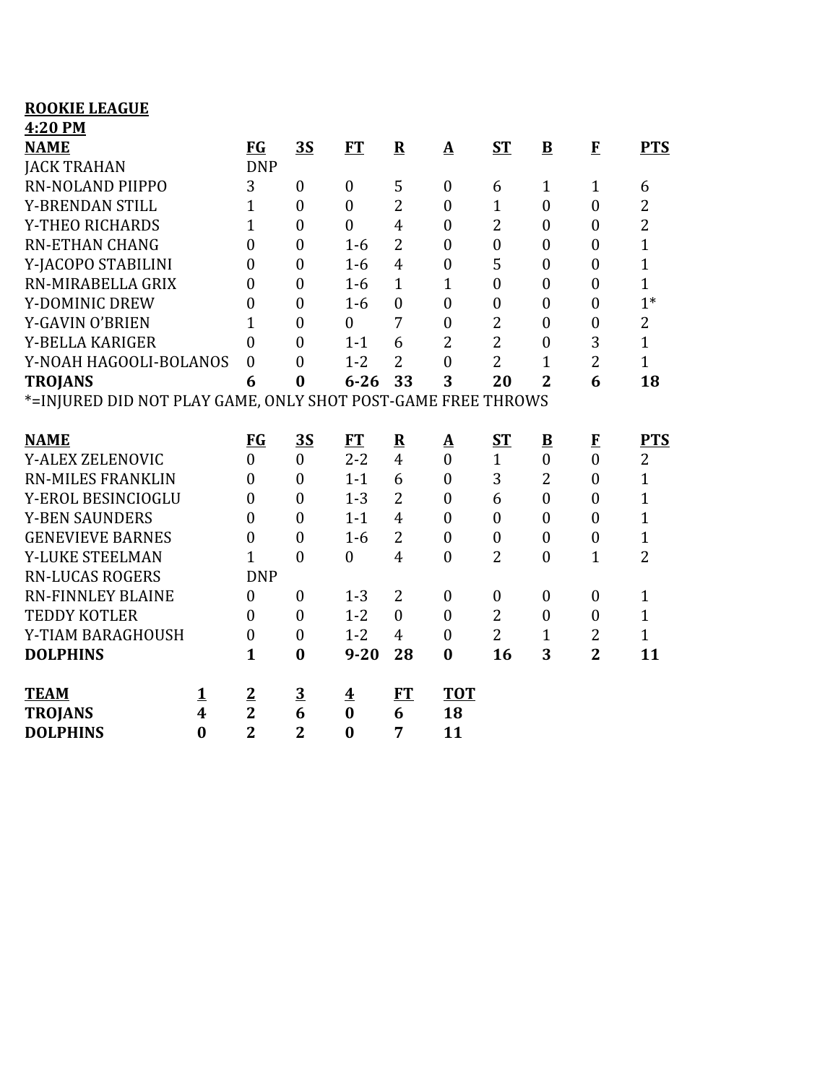| <b>ROOKIE LEAGUE</b>                                         |                                  |                              |                                             |           |                         |                  |                  |                         |                  |                |
|--------------------------------------------------------------|----------------------------------|------------------------------|---------------------------------------------|-----------|-------------------------|------------------|------------------|-------------------------|------------------|----------------|
| 4:20 PM                                                      |                                  |                              |                                             |           |                         |                  |                  |                         |                  |                |
| <b>NAME</b>                                                  | <b>FG</b>                        |                              | 3S                                          | <b>FT</b> | ${\bf R}$               | ${\bf A}$        | $S_{\rm T}$      | $\mathbf{B}$            | $\mathbf F$      | <b>PTS</b>     |
| <b>JACK TRAHAN</b>                                           |                                  | <b>DNP</b>                   |                                             |           |                         |                  |                  |                         |                  |                |
| <b>RN-NOLAND PIIPPO</b>                                      | 3                                | $\mathbf{0}$                 | $\boldsymbol{0}$                            |           | 5                       | $\boldsymbol{0}$ | 6                | 1                       | $\mathbf{1}$     | 6              |
| Y-BRENDAN STILL                                              | $\mathbf{1}$                     | $\overline{0}$               | $\boldsymbol{0}$                            |           | $\overline{2}$          | $\boldsymbol{0}$ | $\mathbf{1}$     | $\boldsymbol{0}$        | $\boldsymbol{0}$ | $\overline{2}$ |
| Y-THEO RICHARDS                                              | $\overline{1}$                   | $\boldsymbol{0}$             | $\boldsymbol{0}$                            |           | $\overline{4}$          | $\boldsymbol{0}$ | $\overline{2}$   | $\theta$                | $\boldsymbol{0}$ | $\overline{2}$ |
| <b>RN-ETHAN CHANG</b>                                        | $\boldsymbol{0}$                 | $\boldsymbol{0}$             |                                             | $1-6$     | $\overline{2}$          | $\boldsymbol{0}$ | $\boldsymbol{0}$ | $\boldsymbol{0}$        | $\boldsymbol{0}$ | $\mathbf{1}$   |
| Y-JACOPO STABILINI                                           | $\overline{0}$                   | $\mathbf{0}$                 |                                             | $1-6$     | $\overline{4}$          | $\boldsymbol{0}$ | 5                | $\overline{0}$          | $\boldsymbol{0}$ | $\overline{1}$ |
| RN-MIRABELLA GRIX                                            | 0                                | $\overline{0}$               |                                             | $1-6$     | $\mathbf{1}$            | $\mathbf{1}$     | $\boldsymbol{0}$ | $\boldsymbol{0}$        | $\boldsymbol{0}$ | $\overline{1}$ |
| Y-DOMINIC DREW                                               | 0                                | $\boldsymbol{0}$             |                                             | $1-6$     | $\boldsymbol{0}$        | $\boldsymbol{0}$ | $\boldsymbol{0}$ | $\overline{0}$          | $\boldsymbol{0}$ | $1*$           |
| Y-GAVIN O'BRIEN                                              | $\overline{1}$                   | $\boldsymbol{0}$             | $\boldsymbol{0}$                            |           | 7                       | $\boldsymbol{0}$ | $\overline{2}$   | $\boldsymbol{0}$        | $\boldsymbol{0}$ | $\overline{2}$ |
| Y-BELLA KARIGER                                              | 0                                | $\overline{0}$               |                                             | $1 - 1$   | 6                       | $\overline{2}$   | $\overline{2}$   | $\overline{0}$          | 3                | $\overline{1}$ |
| Y-NOAH HAGOOLI-BOLANOS                                       | $\boldsymbol{0}$                 | $\overline{0}$               |                                             | $1 - 2$   | 2                       | $\overline{0}$   | $\overline{2}$   | $\overline{1}$          | $\overline{2}$   | $\overline{1}$ |
| <b>TROJANS</b>                                               | 6                                | $\bf{0}$                     |                                             | $6 - 26$  | 33                      | 3                | 20               | $\overline{2}$          | 6                | 18             |
| *=INJURED DID NOT PLAY GAME, ONLY SHOT POST-GAME FREE THROWS |                                  |                              |                                             |           |                         |                  |                  |                         |                  |                |
|                                                              |                                  |                              |                                             |           |                         |                  |                  |                         |                  |                |
|                                                              |                                  |                              |                                             |           |                         |                  |                  |                         |                  |                |
| <b>NAME</b>                                                  | $FG$                             |                              | 3S                                          | <b>FT</b> | $\overline{\mathbf{R}}$ | $\Delta$         | $ST$             | $\overline{\mathbf{B}}$ | $\mathbf F$      | <b>PTS</b>     |
| Y-ALEX ZELENOVIC                                             | $\overline{0}$                   | $\boldsymbol{0}$             |                                             | $2 - 2$   | $\overline{4}$          | $\boldsymbol{0}$ | $\mathbf{1}$     | $\boldsymbol{0}$        | $\boldsymbol{0}$ | $\overline{2}$ |
| <b>RN-MILES FRANKLIN</b>                                     | 0                                | $\mathbf{0}$                 |                                             | $1 - 1$   | 6                       | $\boldsymbol{0}$ | 3                | $\overline{2}$          | $\boldsymbol{0}$ | $\mathbf{1}$   |
| Y-EROL BESINCIOGLU                                           | $\overline{0}$                   | $\overline{0}$               |                                             | $1 - 3$   | $\overline{2}$          | $\boldsymbol{0}$ | 6                | $\overline{0}$          | $\mathbf{0}$     | $\overline{1}$ |
| <b>Y-BEN SAUNDERS</b>                                        | $\boldsymbol{0}$                 | $\overline{0}$               |                                             | $1 - 1$   | $\overline{4}$          | $\boldsymbol{0}$ | $\boldsymbol{0}$ | $\boldsymbol{0}$        | $\boldsymbol{0}$ | $\mathbf{1}$   |
| <b>GENEVIEVE BARNES</b>                                      | $\boldsymbol{0}$                 | $\boldsymbol{0}$             |                                             | $1-6$     | $\overline{2}$          | $\boldsymbol{0}$ | $\boldsymbol{0}$ | $\boldsymbol{0}$        | $\boldsymbol{0}$ | $\mathbf{1}$   |
| Y-LUKE STEELMAN                                              | $\mathbf{1}$                     | $\overline{0}$               | $\boldsymbol{0}$                            |           | $\overline{4}$          | $\overline{0}$   | $\overline{2}$   | $\boldsymbol{0}$        | $\mathbf{1}$     | $\overline{2}$ |
| <b>RN-LUCAS ROGERS</b>                                       |                                  | <b>DNP</b>                   |                                             |           |                         |                  |                  |                         |                  |                |
| <b>RN-FINNLEY BLAINE</b>                                     | $\boldsymbol{0}$                 | $\boldsymbol{0}$             |                                             | $1 - 3$   | 2                       | $\boldsymbol{0}$ | $\boldsymbol{0}$ | $\boldsymbol{0}$        | $\boldsymbol{0}$ | $\mathbf{1}$   |
| <b>TEDDY KOTLER</b>                                          | 0                                | $\mathbf{0}$                 |                                             | $1 - 2$   | $\overline{0}$          | $\boldsymbol{0}$ | $\overline{2}$   | $\boldsymbol{0}$        | $\boldsymbol{0}$ | $\mathbf{1}$   |
| Y-TIAM BARAGHOUSH                                            | $\boldsymbol{0}$                 | $\boldsymbol{0}$             |                                             | $1 - 2$   | $\overline{4}$          | $\boldsymbol{0}$ | $\overline{2}$   | $\mathbf 1$             | 2                | $\overline{1}$ |
| <b>DOLPHINS</b>                                              | $\mathbf{1}$                     | $\bf{0}$                     |                                             | $9 - 20$  | 28                      | $\bf{0}$         | 16               | 3                       | $\overline{2}$   | 11             |
| <b>TEAM</b>                                                  |                                  |                              |                                             |           |                         | <b>TOT</b>       |                  |                         |                  |                |
| <u>1</u><br>4<br><b>TROJANS</b>                              | $\overline{2}$<br>$\overline{2}$ | $\overline{\mathbf{3}}$<br>6 | $\overline{\mathbf{4}}$<br>$\boldsymbol{0}$ |           | FT<br>6                 | 18               |                  |                         |                  |                |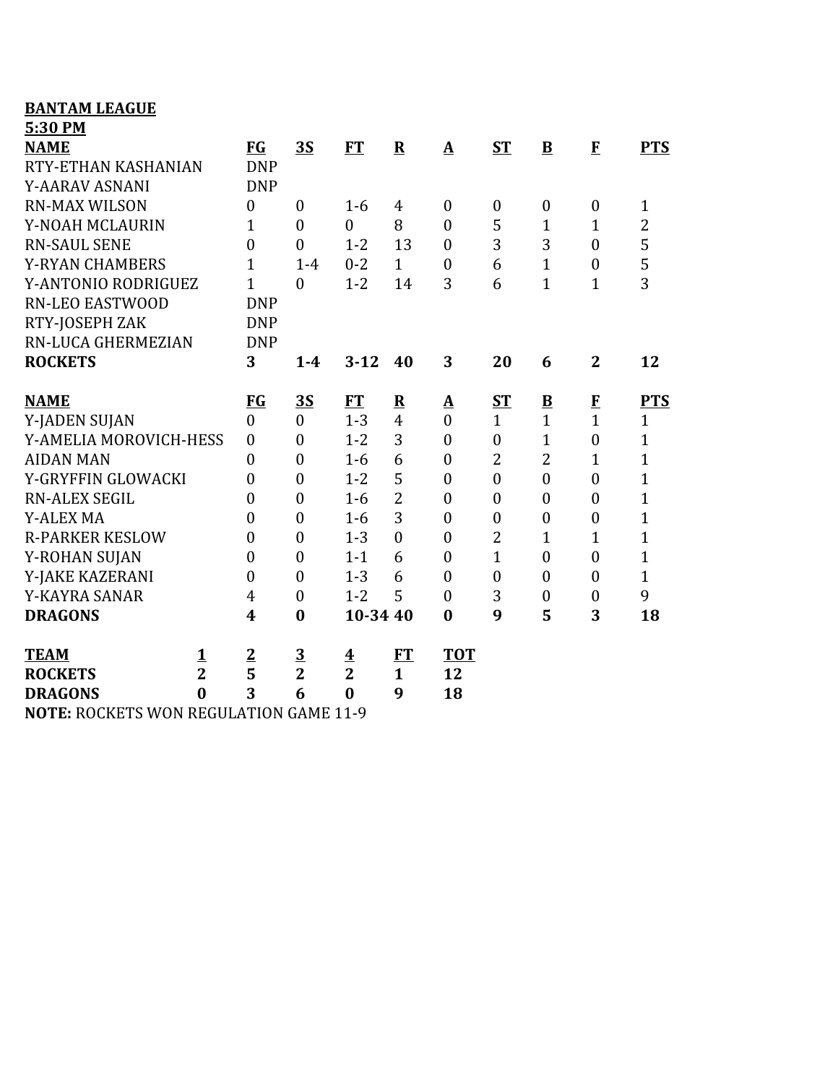| <b>BANTAM LEAGUE</b>                     |                |                  |                  |                         |                |                          |                  |                         |                  |                |
|------------------------------------------|----------------|------------------|------------------|-------------------------|----------------|--------------------------|------------------|-------------------------|------------------|----------------|
| 5:30 PM                                  |                |                  |                  |                         |                |                          |                  |                         |                  |                |
| <b>NAME</b>                              |                | <b>FG</b>        | 3S               | <b>FT</b>               | $\mathbf R$    | $\mathbf{\underline{A}}$ | <b>ST</b>        | B                       | $\mathbf{F}$     | <b>PTS</b>     |
| RTY-ETHAN KASHANIAN                      |                | <b>DNP</b>       |                  |                         |                |                          |                  |                         |                  |                |
| <b>Y-AARAV ASNANI</b>                    |                | <b>DNP</b>       |                  |                         |                |                          |                  |                         |                  |                |
| <b>RN-MAX WILSON</b>                     |                | $\boldsymbol{0}$ | $\mathbf{0}$     | $1-6$                   | 4              | $\mathbf{0}$             | $\boldsymbol{0}$ | $\boldsymbol{0}$        | $\boldsymbol{0}$ | $\mathbf{1}$   |
| Y-NOAH MCLAURIN                          |                | $\mathbf{1}$     | $\overline{0}$   | $\overline{0}$          | 8              | $\mathbf{0}$             | 5                | $\mathbf{1}$            | $\mathbf{1}$     | $\overline{2}$ |
| <b>RN-SAUL SENE</b>                      |                | $\mathbf{0}$     | $\overline{0}$   | $1 - 2$                 | 13             | $\mathbf{0}$             | 3                | 3                       | $\boldsymbol{0}$ | 5              |
| <b>Y-RYAN CHAMBERS</b>                   |                | 1                | $1-4$            | $0 - 2$                 | $\mathbf{1}$   | $\boldsymbol{0}$         | 6                | $\mathbf{1}$            | $\boldsymbol{0}$ | 5              |
| Y-ANTONIO RODRIGUEZ                      |                | $\mathbf{1}$     | $\overline{0}$   | $1 - 2$                 | 14             | 3                        | 6                | $\overline{1}$          | $\mathbf{1}$     | 3              |
| <b>RN-LEO EASTWOOD</b>                   |                | <b>DNP</b>       |                  |                         |                |                          |                  |                         |                  |                |
| RTY-JOSEPH ZAK                           |                | <b>DNP</b>       |                  |                         |                |                          |                  |                         |                  |                |
| RN-LUCA GHERMEZIAN                       |                | <b>DNP</b>       |                  |                         |                |                          |                  |                         |                  |                |
| <b>ROCKETS</b>                           |                | 3                | $1-4$            | $3 - 12$                | 40             | 3                        | 20               | 6                       | $\overline{2}$   | 12             |
| <b>NAME</b>                              |                | <b>FG</b>        | <u>35</u>        | <b>FT</b>               | ${\bf R}$      | $\Delta$                 | <b>ST</b>        | $\overline{\mathbf{B}}$ | $\mathbf{F}$     | <b>PTS</b>     |
| Y-JADEN SUJAN                            |                | $\boldsymbol{0}$ | $\overline{0}$   | $1 - 3$                 | $\overline{4}$ | $\overline{0}$           | $\mathbf{1}$     | $\mathbf{1}$            | $\mathbf{1}$     | $\mathbf{1}$   |
| Y-AMELIA MOROVICH-HESS                   |                | $\boldsymbol{0}$ | $\overline{0}$   | $1 - 2$                 | 3              | $\overline{0}$           | $\boldsymbol{0}$ | $\mathbf{1}$            | $\boldsymbol{0}$ | $\mathbf{1}$   |
| <b>AIDAN MAN</b>                         |                | $\boldsymbol{0}$ | $\overline{0}$   | $1-6$                   | 6              | $\mathbf{0}$             | $\overline{2}$   | $\overline{2}$          | $\mathbf{1}$     | $\overline{1}$ |
| Y-GRYFFIN GLOWACKI                       |                | $\boldsymbol{0}$ | $\overline{0}$   | $1 - 2$                 | 5              | $\overline{0}$           | $\overline{0}$   | $\overline{0}$          | $\boldsymbol{0}$ | $\overline{1}$ |
| <b>RN-ALEX SEGIL</b>                     |                | $\overline{0}$   | $\boldsymbol{0}$ | $1-6$                   | $\overline{2}$ | $\boldsymbol{0}$         | $\overline{0}$   | $\overline{0}$          | $\overline{0}$   | $\overline{1}$ |
| <b>Y-ALEX MA</b>                         |                | $\boldsymbol{0}$ | $\overline{0}$   | $1-6$                   | 3              | $\mathbf{0}$             | $\boldsymbol{0}$ | $\overline{0}$          | $\boldsymbol{0}$ | $\overline{1}$ |
| <b>R-PARKER KESLOW</b>                   |                | $\boldsymbol{0}$ | $\overline{0}$   | $1 - 3$                 | $\theta$       | $\overline{0}$           | $\overline{2}$   | $\mathbf{1}$            | $\mathbf{1}$     | $\mathbf{1}$   |
| Y-ROHAN SUJAN                            |                | $\boldsymbol{0}$ | $\boldsymbol{0}$ | $1 - 1$                 | 6              | $\boldsymbol{0}$         | $\mathbf{1}$     | $\boldsymbol{0}$        | $\boldsymbol{0}$ | $\overline{1}$ |
| Y-JAKE KAZERANI                          |                | $\overline{0}$   | $\boldsymbol{0}$ | $1 - 3$                 | 6              | $\overline{0}$           | $\overline{0}$   | $\overline{0}$          | $\boldsymbol{0}$ | $\mathbf{1}$   |
| Y-KAYRA SANAR                            |                | 4                | $\boldsymbol{0}$ | $1 - 2$                 | 5              | $\boldsymbol{0}$         | 3                | $\boldsymbol{0}$        | $\boldsymbol{0}$ | 9              |
| <b>DRAGONS</b>                           |                | $\boldsymbol{4}$ | $\bf{0}$         | 10-34 40                |                | $\bf{0}$                 | 9                | 5                       | 3                | 18             |
| <b>TEAM</b>                              | $\mathbf 1$    | $\overline{2}$   | $\overline{3}$   | $\overline{\mathbf{4}}$ | FT             | <b>TOT</b>               |                  |                         |                  |                |
| <b>ROCKETS</b>                           | $\overline{2}$ | 5                | $\overline{2}$   | $\overline{2}$          | $\mathbf{1}$   | 12                       |                  |                         |                  |                |
| <b>DRAGONS</b>                           | $\bf{0}$       | 3                | 6                | $\bf{0}$                | 9              | 18                       |                  |                         |                  |                |
| MOTE, DOCIZETE MON DECHI ATION CAME 11.0 |                |                  |                  |                         |                |                          |                  |                         |                  |                |

**NOTE:** ROCKETS WON REGULATION GAME 11-9